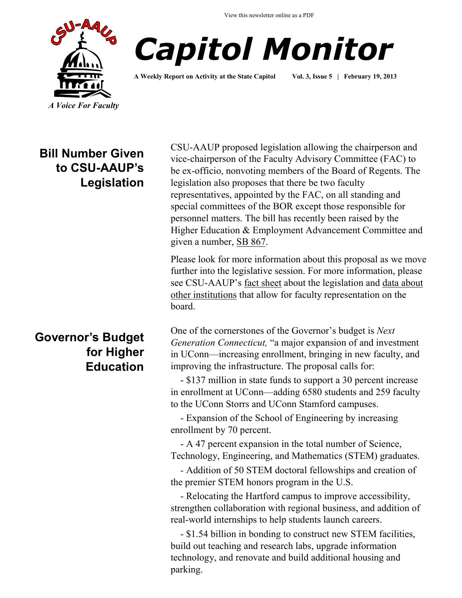View this newsletter online as a PDF





**A Weekly Report on Activity at the State Capitol Vol. 3, Issue 5 | February 19, 2013**

**Bill Number Given to CSU-AAUP's Legislation** 

# **Governor's Budget for Higher Education**

CSU-AAUP proposed legislation allowing the chairperson and vice-chairperson of the Faculty Advisory Committee (FAC) to be ex-officio, nonvoting members of the Board of Regents. The legislation also proposes that there be two faculty representatives, appointed by the FAC, on all standing and special committees of the BOR except those responsible for personnel matters. The bill has recently been raised by the Higher Education & Employment Advancement Committee and given a number, [SB 867.](http://www.cga.ct.gov/asp/cgabillstatus/cgabillstatus.asp?selBillType=Bill&bill_num=SB00867&which_year=2013)

Please look for more information about this proposal as we move further into the legislative session. For more information, please see CSU-AAUP's [fact sheet](http://www.csuaaup.org/wp-content/uploads/2013/02/FACTSHEETBDCOMM.pdf) about the legislation and [data about](http://www.csuaaup.org/wp-content/uploads/2013/02/FacultyBdResearch.pdf)  [other institutions](http://www.csuaaup.org/wp-content/uploads/2013/02/FacultyBdResearch.pdf) that allow for faculty representation on the board.

One of the cornerstones of the Governor's budget is *Next Generation Connecticut,* "a major expansion of and investment in UConn—increasing enrollment, bringing in new faculty, and improving the infrastructure. The proposal calls for:

 - \$137 million in state funds to support a 30 percent increase in enrollment at UConn—adding 6580 students and 259 faculty to the UConn Storrs and UConn Stamford campuses.

 - Expansion of the School of Engineering by increasing enrollment by 70 percent.

 - A 47 percent expansion in the total number of Science, Technology, Engineering, and Mathematics (STEM) graduates.

 *-* Addition of 50 STEM doctoral fellowships and creation of the premier STEM honors program in the U.S.

 - Relocating the Hartford campus to improve accessibility, strengthen collaboration with regional business, and addition of real-world internships to help students launch careers.

 - \$1.54 billion in bonding to construct new STEM facilities, build out teaching and research labs, upgrade information technology, and renovate and build additional housing and parking.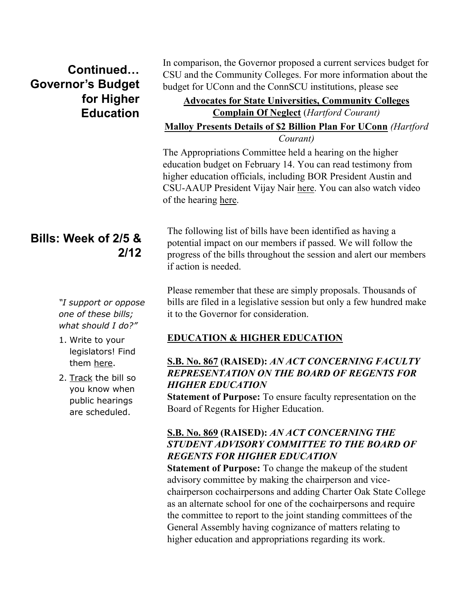# **Continued… Governor's Budget for Higher Education**

# **Bills: Week of 2/5 & 2/12**

*"I support or oppose one of these bills; what should I do?"*

- 1. Write to your legislators! Find them [here.](http://www.cga.ct.gov/asp/menu/CGAFindLeg.asp)
- 2. [Track](http://www.cga.ct.gov/aspx/CGAPublicBillTrack/Register.aspx) the bill so you know when public hearings are scheduled.

In comparison, the Governor proposed a current services budget for CSU and the Community Colleges. For more information about the budget for UConn and the ConnSCU institutions, please see

#### **[Advocates for State Universities, Community Colleges](http://www.courant.com/news/education/hc-state-universities-funding-0215-20130215,0,6568410.story)  [Complain Of Neglect](http://www.courant.com/news/education/hc-state-universities-funding-0215-20130215,0,6568410.story)** (*Hartford Courant)* **[Malloy Presents Details of \\$2 Billion Plan For UConn](http://www.courant.com/news/breaking/hc-engineering-uconn-0201-20130131,0,4372437.story)** *(Hartford Courant)*

The Appropriations Committee held a hearing on the higher education budget on February 14. You can read testimony from higher education officials, including BOR President Austin and CSU-AAUP President Vijay Nair [here.](http://www.cga.ct.gov/asp/menu/CommDocTmy.asp?comm_code=APP&date=02/14/2013) You can also watch video of the hearing [here.](http://www.ctn.state.ct.us/CTNplayer.asp?odID=8696) 

The following list of bills have been identified as having a potential impact on our members if passed. We will follow the progress of the bills throughout the session and alert our members if action is needed.

Please remember that these are simply proposals. Thousands of bills are filed in a legislative session but only a few hundred make it to the Governor for consideration.

### **EDUCATION & HIGHER EDUCATION**

### **[S.B. No. 867](http://www.cga.ct.gov/asp/cgabillstatus/cgabillstatus.asp?selBillType=Bill&bill_num=SB00867&which_year=2013) (RAISED):** *AN ACT CONCERNING FACULTY REPRESENTATION ON THE BOARD OF REGENTS FOR HIGHER EDUCATION*

**Statement of Purpose:** To ensure faculty representation on the Board of Regents for Higher Education.

### **[S.B. No. 869](http://www.cga.ct.gov/asp/cgabillstatus/cgabillstatus.asp?selBillType=Bill&bill_num=SB00869&which_year=2013) (RAISED):** *AN ACT CONCERNING THE STUDENT ADVISORY COMMITTEE TO THE BOARD OF REGENTS FOR HIGHER EDUCATION*

**Statement of Purpose:** To change the makeup of the student advisory committee by making the chairperson and vicechairperson cochairpersons and adding Charter Oak State College as an alternate school for one of the cochairpersons and require the committee to report to the joint standing committees of the General Assembly having cognizance of matters relating to higher education and appropriations regarding its work.